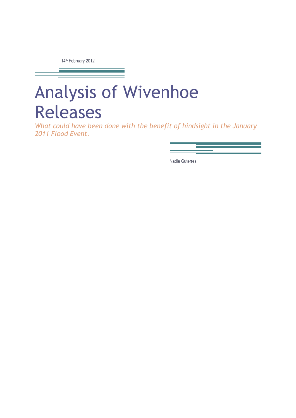14th February 2012

# Analysis of Wivenhoe Releases

What could have been done with the benefit of hindsight in the January 2011 Flood Event.

Nadia Guterres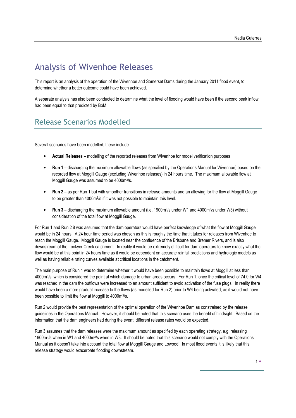# Analysis of Wivenhoe Releases

This report is an analysis of the operation of the Wivenhoe and Somerset Dams during the January 2011 flood event, to determine whether a better outcome could have been achieved.

A separate analysis has also been conducted to determine what the level of flooding would have been if the second peak inflow had been equal to that predicted by BoM.

# Release Scenarios Modelled

Several scenarios have been modelled, these include:

- Actual Releases modelling of the reported releases from Wivenhoe for model verification purposes
- Run 1 discharging the maximum allowable flows (as specified by the Operations Manual for Wivenhoe) based on the recorded flow at Moggill Gauge (excluding Wivenhoe releases) in 24 hours time. The maximum allowable flow at Moggill Gauge was assumed to be 4000m<sup>3</sup>/s.
- Run 2 as per Run 1 but with smoother transitions in release amounts and an allowing for the flow at Moggill Gauge to be greater than 4000m<sup>3</sup>/s if it was not possible to maintain this level.
- Run 3 discharging the maximum allowable amount (i.e. 1900m<sup>3</sup>/s under W1 and 4000m<sup>3</sup>/s under W3) without consideration of the total flow at Moggill Gauge.

For Run 1 and Run 2 it was assumed that the dam operators would have perfect knowledge of what the flow at Moggill Gauge would be in 24 hours. A 24 hour time period was chosen as this is roughly the time that it takes for releases from Wivenhoe to reach the Moggill Gauge. Moggill Gauge is located near the confluence of the Brisbane and Bremer Rivers, and is also downstream of the Lockyer Creek catchment. In reality it would be extremely difficult for dam operators to know exactly what the flow would be at this point in 24 hours time as it would be dependent on accurate rainfall predictions and hydrologic models as well as having reliable rating curves available at critical locations in the catchment.

The main purpose of Run 1 was to determine whether it would have been possible to maintain flows at Moggill at less than 4000m<sup>3</sup> /s, which is considered the point at which damage to urban areas occurs. For Run 1, once the critical level of 74.0 for W4 was reached in the dam the outflows were increased to an amount sufficient to avoid activation of the fuse plugs. In reality there would have been a more gradual increase to the flows (as modelled for Run 2) prior to W4 being activated, as it would not have been possible to limit the flow at Moggill to 4000m<sup>3</sup> /s.

Run 2 would provide the best representation of the optimal operation of the Wivenhoe Dam as constrained by the release guidelines in the Operations Manual. However, it should be noted that this scenario uses the benefit of hindsight. Based on the information that the dam engineers had during the event, different release rates would be expected.

Run 3 assumes that the dam releases were the maximum amount as specified by each operating strategy, e.g. releasing 1900m<sup>3</sup>/s when in W1 and 4000m<sup>3</sup>/s when in W3. It should be noted that this scenario would not comply with the Operations Manual as it doesn't take into account the total flow at Moggill Gauge and Lowood. In most flood events it is likely that this release strategy would exacerbate flooding downstream.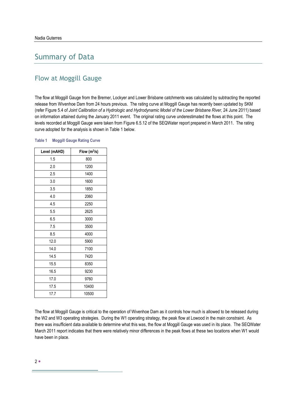# Summary of Data

# Flow at Moggill Gauge

The flow at Moggill Gauge from the Bremer, Lockyer and Lower Brisbane catchments was calculated by subtracting the reported release from Wivenhoe Dam from 24 hours previous. The rating curve at Moggill Gauge has recently been updated by SKM (refer Figure 5.4 of Joint Calibration of a Hydrologic and Hydrodynamic Model of the Lower Brisbane River, 24 June 2011) based on information attained during the January 2011 event. The original rating curve underestimated the flows at this point. The levels recorded at Moggill Gauge were taken from Figure 6.5.12 of the SEQWater report prepared in March 2011. The rating curve adopted for the analysis is shown in Table 1 below.

| Level (mAHD) | Flow $(m^3/s)$ |
|--------------|----------------|
| 1.5          | 800            |
| 2.0          | 1200           |
| 2.5          | 1400           |
| 3.0          | 1600           |
| 3.5          | 1850           |
| 4.0          | 2060           |
| 4.5          | 2250           |
| 5.5          | 2625           |
| 6.5          | 3000           |
| 7.5          | 3500           |
| 8.5          | 4000           |
| 12.0         | 5900           |
| 14.0         | 7100           |
| 14.5         | 7420           |
| 15.5         | 8350           |
| 16.5         | 9230           |
| 17.0         | 9760           |
| 17.5         | 10400          |
| 17.7         | 10500          |

#### Table 1 Moggill Gauge Rating Curve

The flow at Moggill Gauge is critical to the operation of Wivenhoe Dam as it controls how much is allowed to be released during the W2 and W3 operating strategies. During the W1 operating strategy, the peak flow at Lowood in the main constraint. As there was insufficient data available to determine what this was, the flow at Moggill Gauge was used in its place. The SEQWater March 2011 report indicates that there were relatively minor differences in the peak flows at these two locations when W1 would have been in place.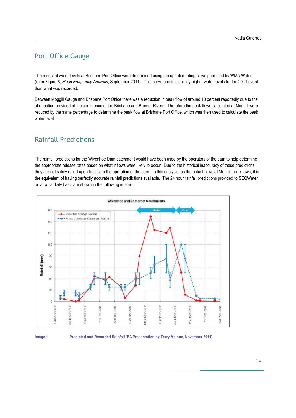## Port Office Gauge

The resultant water levels at Brisbane Port Office were determined using the updated rating curve produced by WMA Water (refer Figure 8, Flood Frequency Analysis, September 2011). This curve predicts slightly higher water levels for the 2011 event than what was recorded.

Between Moggill Gauge and Brisbane Port Office there was a reduction in peak flow of around 10 percent reportedly due to the attenuation provided at the confluence of the Brisbane and Bremer Rivers. Therefore the peak flows calculated at Moggill were reduced by the same percentage to determine the peak flow at Brisbane Port Office, which was then used to calculate the peak water level.

### Rainfall Predictions

The rainfall predictions for the Wivenhoe Dam catchment would have been used by the operators of the dam to help determine the appropriate release rates based on what inflows were likely to occur. Due to the historical inaccuracy of these predictions they are not solely relied upon to dictate the operation of the dam. In this analysis, as the actual flows at Moggill are known, it is the equivalent of having perfectly accurate rainfall predictions available. The 24 hour rainfall predictions provided to SEQWater on a twice daily basis are shown in the following image.



Image 1 Predicted and Recorded Rainfall (EA Presentation by Terry Malone, November 2011)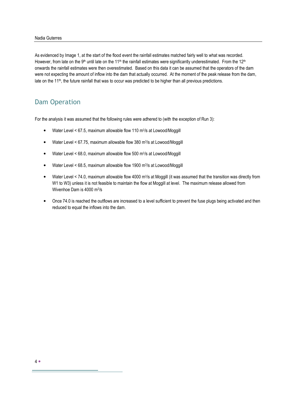#### Nadia Guterres

As evidenced by Image 1, at the start of the flood event the rainfall estimates matched fairly well to what was recorded. However, from late on the 9<sup>th</sup> until late on the 11<sup>th</sup> the rainfall estimates were significantly underestimated. From the 12<sup>th</sup> onwards the rainfall estimates were then overestimated. Based on this data it can be assumed that the operators of the dam were not expecting the amount of inflow into the dam that actually occurred. At the moment of the peak release from the dam, late on the 11<sup>th</sup>, the future rainfall that was to occur was predicted to be higher than all previous predictions.

### Dam Operation

For the analysis it was assumed that the following rules were adhered to (with the exception of Run 3):

- Water Level < 67.5, maximum allowable flow 110 m<sup>3</sup>/s at Lowood/Moggill
- Water Level < 67.75, maximum allowable flow 380 m<sup>3</sup>/s at Lowood/Moggill
- Water Level < 68.0, maximum allowable flow 500 m<sup>3</sup>/s at Lowood/Moggill
- Water Level < 68.5, maximum allowable flow 1900 m<sup>3</sup>/s at Lowood/Moggill
- Water Level < 74.0, maximum allowable flow 4000 m<sup>3</sup>/s at Moggill (it was assumed that the transition was directly from W1 to W3) unless it is not feasible to maintain the flow at Moggill at level. The maximum release allowed from Wivenhoe Dam is 4000 m<sup>3</sup> /s
- Once 74.0 is reached the outflows are increased to a level sufficient to prevent the fuse plugs being activated and then reduced to equal the inflows into the dam.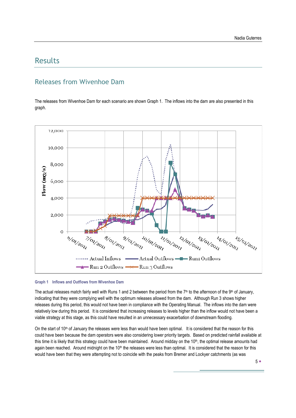# Results

## Releases from Wivenhoe Dam

The releases from Wivenhoe Dam for each scenario are shown Graph 1. The inflows into the dam are also presented in this graph.



#### Graph 1 Inflows and Outflows from Wivenhoe Dam

The actual releases match fairly well with Runs 1 and 2 between the period from the 7<sup>th</sup> to the afternoon of the 9<sup>th</sup> of January, indicating that they were complying well with the optimum releases allowed from the dam. Although Run 3 shows higher releases during this period, this would not have been in compliance with the Operating Manual. The inflows into the dam were relatively low during this period. It is considered that increasing releases to levels higher than the inflow would not have been a viable strategy at this stage, as this could have resulted in an unnecessary exacerbation of downstream flooding.

On the start of 10<sup>th</sup> of January the releases were less than would have been optimal. It is considered that the reason for this could have been because the dam operators were also considering lower priority targets. Based on predicted rainfall available at this time it is likely that this strategy could have been maintained. Around midday on the 10<sup>th</sup>, the optimal release amounts had again been reached. Around midnight on the  $10<sup>th</sup>$  the releases were less than optimal. It is considered that the reason for this would have been that they were attempting not to coincide with the peaks from Bremer and Lockyer catchments (as was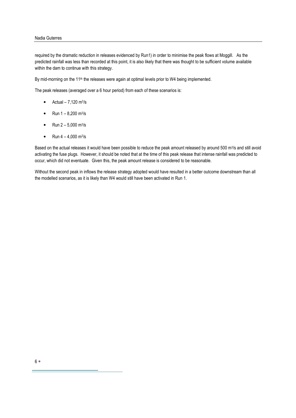#### Nadia Guterres

required by the dramatic reduction in releases evidenced by Run1) in order to minimise the peak flows at Moggill. As the predicted rainfall was less than recorded at this point, it is also likely that there was thought to be sufficient volume available within the dam to continue with this strategy.

By mid-morning on the 11<sup>th</sup> the releases were again at optimal levels prior to W4 being implemented.

The peak releases (averaged over a 6 hour period) from each of these scenarios is:

- Actual  $-7,120 \text{ m}^3\text{/s}$
- Run  $1 8,200$  m<sup>3</sup>/s
- Run  $2 5,000$  m<sup>3</sup>/s
- Run  $4 4,000$  m<sup>3</sup>/s

Based on the actual releases it would have been possible to reduce the peak amount released by around 500 m<sup>3</sup>/s and still avoid activating the fuse plugs. However, it should be noted that at the time of this peak release that intense rainfall was predicted to occur, which did not eventuate. Given this, the peak amount release is considered to be reasonable.

Without the second peak in inflows the release strategy adopted would have resulted in a better outcome downstream than all the modelled scenarios, as it is likely than W4 would still have been activated in Run 1.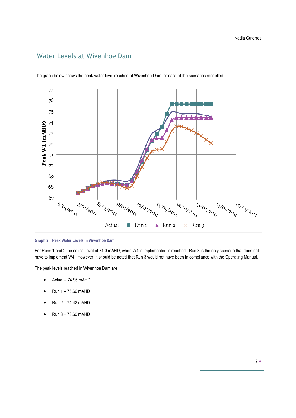## Water Levels at Wivenhoe Dam



The graph below shows the peak water level reached at Wivenhoe Dam for each of the scenarios modelled.

Graph 2 Peak Water Levels in Wivenhoe Dam

For Runs 1 and 2 the critical level of 74.0 mAHD, when W4 is implemented is reached. Run 3 is the only scenario that does not have to implement W4. However, it should be noted that Run 3 would not have been in compliance with the Operating Manual.

The peak levels reached in Wivenhoe Dam are:

- Actual 74.95 mAHD
- Run 1 75.66 mAHD
- Run  $2 74.42$  mAHD
- Run 3 73.60 mAHD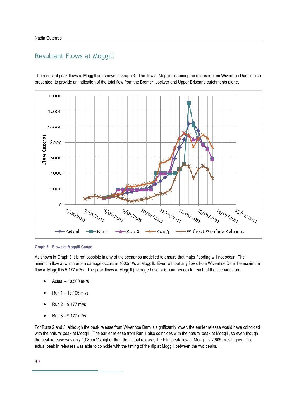### Resultant Flows at Moggill

The resultant peak flows at Moggill are shown in Graph 3. The flow at Moggill assuming no releases from Wivenhoe Dam is also presented, to provide an indication of the total flow from the Bremer, Lockyer and Upper Brisbane catchments alone.



#### Graph 3 Flows at Moggill Gauge

As shown in Graph 3 it is not possible in any of the scenarios modelled to ensure that major flooding will not occur. The minimum flow at which urban damage occurs is 4000m<sup>3</sup>/s at Moggill. Even without any flows from Wivenhoe Dam the maximum flow at Moggill is 5,177 m<sup>3</sup>/s. The peak flows at Moggill (averaged over a 6 hour period) for each of the scenarios are:

- Actual  $10,500$  m<sup>3</sup>/s
- Run  $1 13,105$  m<sup>3</sup>/s
- Run  $2 9,177$  m<sup>3</sup>/s
- Run  $3 9,177$  m<sup>3</sup>/s

For Runs 2 and 3, although the peak release from Wivenhoe Dam is significantly lower, the earlier release would have coincided with the natural peak at Moggill. The earlier release from Run 1 also coincides with the natural peak at Moggill, so even though the peak release was only 1,080 m3/s higher than the actual release, the total peak flow at Moggill is 2,605 m3/s higher. The actual peak in releases was able to coincide with the timing of the dip at Moggill between the two peaks.

8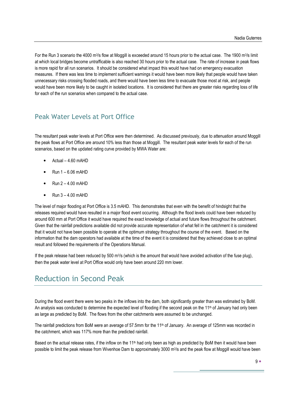For the Run 3 scenario the 4000 m<sup>3</sup>/s flow at Moggill is exceeded around 15 hours prior to the actual case. The 1900 m<sup>3</sup>/s limit at which local bridges become untrafficable is also reached 30 hours prior to the actual case. The rate of increase in peak flows is more rapid for all run scenarios. It should be considered what impact this would have had on emergency evacuation measures. If there was less time to implement sufficient warnings it would have been more likely that people would have taken unnecessary risks crossing flooded roads, and there would have been less time to evacuate those most at risk, and people would have been more likely to be caught in isolated locations. It is considered that there are greater risks regarding loss of life for each of the run scenarios when compared to the actual case.

# Peak Water Levels at Port Office

The resultant peak water levels at Port Office were then determined. As discussed previously, due to attenuation around Moggill the peak flows at Port Office are around 10% less than those at Moggill. The resultant peak water levels for each of the run scenarios, based on the updated rating curve provided by MWA Water are:

- Actual 4.60 mAHD
- Run 1 6.06 mAHD
- Run 2 4.00 mAHD
- Run 3 4.00 mAHD

The level of major flooding at Port Office is 3.5 mAHD. This demonstrates that even with the benefit of hindsight that the releases required would have resulted in a major flood event occurring. Although the flood levels could have been reduced by around 600 mm at Port Office it would have required the exact knowledge of actual and future flows throughout the catchment. Given that the rainfall predictions available did not provide accurate representation of what fell in the catchment it is considered that it would not have been possible to operate at the optimum strategy throughout the course of the event. Based on the information that the dam operators had available at the time of the event it is considered that they achieved close to an optimal result and followed the requirements of the Operations Manual.

If the peak release had been reduced by 500 m<sup>3</sup>/s (which is the amount that would have avoided activation of the fuse plug), then the peak water level at Port Office would only have been around 220 mm lower.

# Reduction in Second Peak

During the flood event there were two peaks in the inflows into the dam, both significantly greater than was estimated by BoM. An analysis was conducted to determine the expected level of flooding if the second peak on the 11<sup>th</sup> of January had only been as large as predicted by BoM. The flows from the other catchments were assumed to be unchanged.

The rainfall predictions from BoM were an average of 57.5mm for the 11<sup>th</sup> of January. An average of 125mm was recorded in the catchment, which was 117% more than the predicted rainfall.

Based on the actual release rates, if the inflow on the 11<sup>th</sup> had only been as high as predicted by BoM then it would have been possible to limit the peak release from Wivenhoe Dam to approximately 3000 m<sup>3</sup>/s and the peak flow at Moggill would have been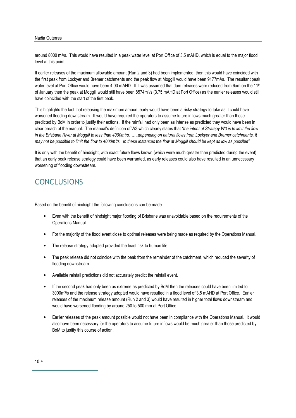#### Nadia Guterres

around 8000 m<sup>3</sup>/s. This would have resulted in a peak water level at Port Office of 3.5 mAHD, which is equal to the major flood level at this point.

If earlier releases of the maximum allowable amount (Run 2 and 3) had been implemented, then this would have coincided with the first peak from Lockyer and Bremer catchments and the peak flow at Moggill would have been 9177m<sup>3</sup> /s. The resultant peak water level at Port Office would have been 4.00 mAHD. If it was assumed that dam releases were reduced from 6am on the 11<sup>th</sup> of January then the peak at Moggill would still have been 8574m<sup>3</sup> /s (3.75 mAHD at Port Office) as the earlier releases would still have coincided with the start of the first peak.

This highlights the fact that releasing the maximum amount early would have been a risky strategy to take as it could have worsened flooding downstream. It would have required the operators to assume future inflows much greater than those predicted by BoM in order to justify their actions. If the rainfall had only been as intense as predicted they would have been in clear breach of the manual. The manual's definition of W3 which clearly states that "the intent of Strategy W3 is to limit the flow in the Brisbane River at Moggill to less than 4000m<sup>3</sup>/s……depending on natural flows from Lockyer and Bremer catchments, it may not be possible to limit the flow to 4000m<sup>3</sup>/s. In these instances the flow at Moggill should be kept as low as possible".

It is only with the benefit of hindsight, with exact future flows known (which were much greater than predicted during the event) that an early peak release strategy could have been warranted, as early releases could also have resulted in an unnecessary worsening of flooding downstream.

# **CONCLUSIONS**

Based on the benefit of hindsight the following conclusions can be made:

- Even with the benefit of hindsight major flooding of Brisbane was unavoidable based on the requirements of the Operations Manual.
- For the majority of the flood event close to optimal releases were being made as required by the Operations Manual.
- The release strategy adopted provided the least risk to human life.
- The peak release did not coincide with the peak from the remainder of the catchment, which reduced the severity of flooding downstream.
- Available rainfall predictions did not accurately predict the rainfall event.
- If the second peak had only been as extreme as predicted by BoM then the releases could have been limited to 3000m<sup>3</sup> /s and the release strategy adopted would have resulted in a flood level of 3.5 mAHD at Port Office. Earlier releases of the maximum release amount (Run 2 and 3) would have resulted in higher total flows downstream and would have worsened flooding by around 250 to 500 mm at Port Office.
- Earlier releases of the peak amount possible would not have been in compliance with the Operations Manual. It would also have been necessary for the operators to assume future inflows would be much greater than those predicted by BoM to justify this course of action.